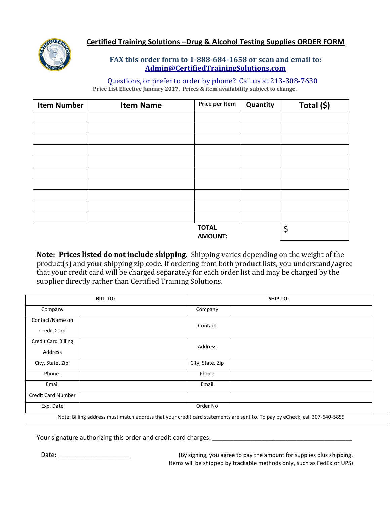

## **Certified Training Solutions –Drug & Alcohol Testing Supplies ORDER FORM**

## **FAX this order form to 1-888-684-1658 or scan and email to: [Admin@CertifiedTrainingSolutions.com](mailto:Admin@CertifiedTrainingSolutions.com)**

 Questions, or prefer to order by phone? Call us at 213-308-7630 **Price List Effective January 2017. Prices & item availability subject to change.**

| <b>Item Number</b> | <b>Item Name</b> | Price per Item                 | Quantity | Total (\$) |
|--------------------|------------------|--------------------------------|----------|------------|
|                    |                  |                                |          |            |
|                    |                  |                                |          |            |
|                    |                  |                                |          |            |
|                    |                  |                                |          |            |
|                    |                  |                                |          |            |
|                    |                  |                                |          |            |
|                    |                  |                                |          |            |
|                    |                  |                                |          |            |
|                    |                  |                                |          |            |
|                    |                  |                                |          |            |
|                    |                  | <b>TOTAL</b><br><b>AMOUNT:</b> |          | \$         |

**Note: Prices listed do not include shipping.** Shipping varies depending on the weight of the product(s) and your shipping zip code. If ordering from both product lists, you understand/agree that your credit card will be charged separately for each order list and may be charged by the supplier directly rather than Certified Training Solutions.

| <b>BILL TO:</b>            |  | <b>SHIP TO:</b>  |  |
|----------------------------|--|------------------|--|
| Company                    |  | Company          |  |
| Contact/Name on            |  |                  |  |
| Credit Card                |  | Contact          |  |
| <b>Credit Card Billing</b> |  | Address          |  |
| Address                    |  |                  |  |
| City, State, Zip:          |  | City, State, Zip |  |
| Phone:                     |  | Phone            |  |
| Email                      |  | Email            |  |
| <b>Credit Card Number</b>  |  |                  |  |
| Exp. Date                  |  | Order No         |  |

Note: Billing address must match address that your credit card statements are sent to. To pay by eCheck, call 307-640-5859

Your signature authorizing this order and credit card charges: \_\_\_\_\_\_\_\_\_\_\_\_\_\_\_\_\_

Date: \_\_\_\_\_\_\_\_\_\_\_\_\_\_\_\_\_\_\_\_\_\_\_\_\_\_\_\_\_\_\_\_\_(By signing, you agree to pay the amount for supplies plus shipping. Items will be shipped by trackable methods only, such as FedEx or UPS)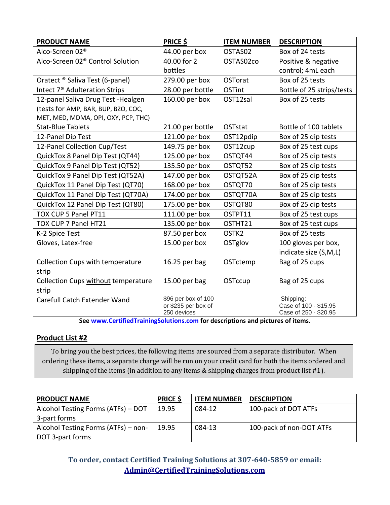| <b>PRODUCT NAME</b>                          | <b>PRICE \$</b>                    | <b>ITEM NUMBER</b> | <b>DESCRIPTION</b>                             |
|----------------------------------------------|------------------------------------|--------------------|------------------------------------------------|
| Alco-Screen 02 <sup>®</sup>                  | 44.00 per box                      | OSTAS02            | Box of 24 tests                                |
| Alco-Screen 02 <sup>®</sup> Control Solution | 40.00 for 2                        | OSTAS02co          | Positive & negative                            |
|                                              | bottles                            |                    | control; 4mL each                              |
| Oratect ® Saliva Test (6-panel)              | 279.00 per box                     | <b>OSTorat</b>     | Box of 25 tests                                |
| Intect 7 <sup>®</sup> Adulteration Strips    | 28.00 per bottle                   | <b>OSTint</b>      | Bottle of 25 strips/tests                      |
| 12-panel Saliva Drug Test - Healgen          | 160.00 per box                     | OST12sal           | Box of 25 tests                                |
| (tests for AMP, BAR, BUP, BZO, COC,          |                                    |                    |                                                |
| MET, MED, MDMA, OPI, OXY, PCP, THC)          |                                    |                    |                                                |
| <b>Stat-Blue Tablets</b>                     | 21.00 per bottle                   | OSTstat            | Bottle of 100 tablets                          |
| 12-Panel Dip Test                            | 121.00 per box                     | OST12pdip          | Box of 25 dip tests                            |
| 12-Panel Collection Cup/Test                 | 149.75 per box                     | OST12cup           | Box of 25 test cups                            |
| QuickTox 8 Panel Dip Test (QT44)             | 125.00 per box                     | OSTQT44            | Box of 25 dip tests                            |
| QuickTox 9 Panel Dip Test (QT52)             | 135.50 per box                     | OSTQT52            | Box of 25 dip tests                            |
| QuickTox 9 Panel Dip Test (QT52A)            | 147.00 per box                     | OSTQT52A           | Box of 25 dip tests                            |
| QuickTox 11 Panel Dip Test (QT70)            | 168.00 per box                     | OSTQT70            | Box of 25 dip tests                            |
| QuickTox 11 Panel Dip Test (QT70A)           | 174.00 per box                     | OSTQT70A           | Box of 25 dip tests                            |
| QuickTox 12 Panel Dip Test (QT80)            | 175.00 per box                     | OSTQT80            | Box of 25 dip tests                            |
| TOX CUP 5 Panel PT11                         | 111.00 per box                     | OSTPT11            | Box of 25 test cups                            |
| TOX CUP 7 Panel HT21                         | 135.00 per box                     | OSTHT21            | Box of 25 test cups                            |
| K-2 Spice Test                               | 87.50 per box                      | OSTK <sub>2</sub>  | Box of 25 tests                                |
| Gloves, Latex-free                           | 15.00 per box                      | OSTglov            | 100 gloves per box,                            |
|                                              |                                    |                    | indicate size (S,M,L)                          |
| <b>Collection Cups with temperature</b>      | 16.25 per bag                      | OSTctemp           | Bag of 25 cups                                 |
| strip                                        |                                    |                    |                                                |
| Collection Cups without temperature          | 15.00 per bag                      | OSTccup            | Bag of 25 cups                                 |
| strip                                        |                                    |                    |                                                |
| Carefull Catch Extender Wand                 | \$96 per box of 100                |                    | Shipping:                                      |
|                                              | or \$235 per box of<br>250 devices |                    | Case of 100 - \$15.95<br>Case of 250 - \$20.95 |

**See [www.CertifiedTrainingSolutions.com](http://www.certifiedtrainingsolutions.com/) for descriptions and pictures of items.**

### **Product List #2**

To bring you the best prices, the following items are sourced from a separate distributor. When ordering these items, a separate charge will be run on your credit card for both the items ordered and shipping of the items (in addition to any items & shipping charges from product list #1).

| <b>PRODUCT NAME</b>                 | <b>PRICE \$</b> | <b>ITEM NUMBER</b> | <b>DESCRIPTION</b>       |
|-------------------------------------|-----------------|--------------------|--------------------------|
| Alcohol Testing Forms (ATFs) - DOT  | 19.95           | 084-12             | 100-pack of DOT ATFs     |
| 3-part forms                        |                 |                    |                          |
| Alcohol Testing Forms (ATFs) – non- | 19.95           | 084-13             | 100-pack of non-DOT ATFs |
| DOT 3-part forms                    |                 |                    |                          |

**To order, contact Certified Training Solutions at 307-640-5859 or email: [Admin@CertifiedTrainingSolutions.com](mailto:Admin@CertifiedTrainingSolutions.com)**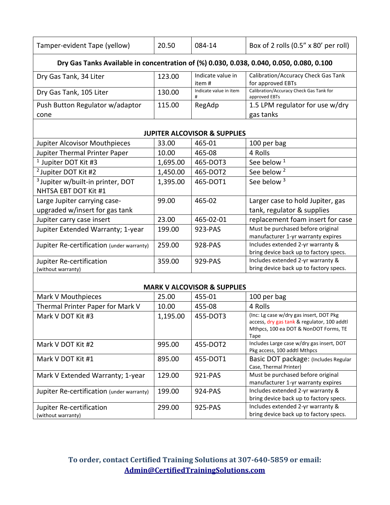| Tamper-evident Tape (yellow)                                                             | 20.50    | 084-14                      | Box of 2 rolls (0.5" x 80' per roll)                           |  |  |  |
|------------------------------------------------------------------------------------------|----------|-----------------------------|----------------------------------------------------------------|--|--|--|
| Dry Gas Tanks Available in concentration of (%) 0.030, 0.038, 0.040, 0.050, 0.080, 0.100 |          |                             |                                                                |  |  |  |
| Dry Gas Tank, 34 Liter                                                                   | 123.00   | Indicate value in<br>item # | Calibration/Accuracy Check Gas Tank<br>for approved EBTs       |  |  |  |
| Dry Gas Tank, 105 Liter                                                                  | 130.00   | Indicate value in item<br># | Calibration/Accuracy Check Gas Tank for<br>approved EBTs       |  |  |  |
| Push Button Regulator w/adaptor                                                          | 115.00   | RegAdp                      | 1.5 LPM regulator for use w/dry                                |  |  |  |
| cone                                                                                     |          |                             | gas tanks                                                      |  |  |  |
| <b>JUPITER ALCOVISOR &amp; SUPPLIES</b>                                                  |          |                             |                                                                |  |  |  |
| <b>Jupiter Alcovisor Mouthpieces</b>                                                     | 33.00    | 465-01                      | 100 per bag                                                    |  |  |  |
| Jupiter Thermal Printer Paper                                                            | 10.00    | 465-08                      | 4 Rolls                                                        |  |  |  |
| <sup>1</sup> Jupiter DOT Kit #3                                                          | 1,695.00 | 465-DOT3                    | See below <sup>1</sup>                                         |  |  |  |
| <sup>2</sup> Jupiter DOT Kit #2                                                          | 1,450.00 | 465-DOT2                    | See below <sup>2</sup>                                         |  |  |  |
| <sup>3</sup> Jupiter w/built-in printer, DOT<br>NHTSA EBT DOT Kit #1                     | 1,395.00 | 465-DOT1                    | See below <sup>3</sup>                                         |  |  |  |
| Large Jupiter carrying case-<br>upgraded w/insert for gas tank                           | 99.00    | 465-02                      | Larger case to hold Jupiter, gas<br>tank, regulator & supplies |  |  |  |

#### **MARK V ALCOVISOR & SUPPLIES**

Jupiter carry case insert | 23.00 | 465-02-01 | replacement foam insert for case Jupiter Extended Warranty; 1-year 199.00 923-PAS Must be purchased before original

Jupiter Re-certification (under warranty) 259.00 928-PAS | Includes extended 2-yr warranty &

Jupiter Re-certification

(without warranty)

manufacturer 1-yr warranty expires

bring device back up to factory specs.

bring device back up to factory specs.

359.00 929-PAS | Includes extended 2-yr warranty &

| Mark V Mouthpieces                             | 25.00    | 455-01   | 100 per bag                                                                                                                             |
|------------------------------------------------|----------|----------|-----------------------------------------------------------------------------------------------------------------------------------------|
| Thermal Printer Paper for Mark V               | 10.00    | 455-08   | 4 Rolls                                                                                                                                 |
| Mark V DOT Kit #3                              | 1,195.00 | 455-DOT3 | (Inc: Lg case w/dry gas insert, DOT Pkg<br>access, dry gas tank & regulator, 100 addtl<br>Mthpcs, 100 ea DOT & NonDOT Forms, TE<br>Tape |
| Mark V DOT Kit #2                              | 995.00   | 455-DOT2 | Includes Large case w/dry gas insert, DOT<br>Pkg access, 100 addtl Mthpcs                                                               |
| Mark V DOT Kit #1                              | 895.00   | 455-DOT1 | Basic DOT package: (Includes Regular<br>Case, Thermal Printer)                                                                          |
| Mark V Extended Warranty; 1-year               | 129.00   | 921-PAS  | Must be purchased before original<br>manufacturer 1-yr warranty expires                                                                 |
| Jupiter Re-certification (under warranty)      | 199.00   | 924-PAS  | Includes extended 2-yr warranty &<br>bring device back up to factory specs.                                                             |
| Jupiter Re-certification<br>(without warranty) | 299.00   | 925-PAS  | Includes extended 2-yr warranty &<br>bring device back up to factory specs.                                                             |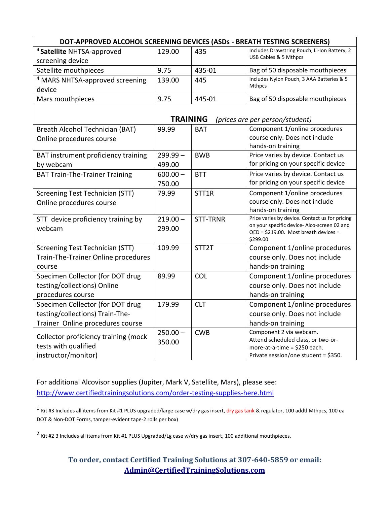| DOT-APPROVED ALCOHOL SCREENING DEVICES (ASDs - BREATH TESTING SCREENERS) |                 |                    |                                                                                               |  |
|--------------------------------------------------------------------------|-----------------|--------------------|-----------------------------------------------------------------------------------------------|--|
| <sup>4</sup> Satellite NHTSA-approved                                    | 129.00<br>435   |                    | Includes Drawstring Pouch, Li-Ion Battery, 2                                                  |  |
| screening device                                                         |                 |                    | USB Cables & 5 Mthpcs                                                                         |  |
| Satellite mouthpieces                                                    | 9.75            | 435-01             | Bag of 50 disposable mouthpieces                                                              |  |
| <sup>4</sup> MARS NHTSA-approved screening                               | 139.00          | 445                | Includes Nylon Pouch, 3 AAA Batteries & 5                                                     |  |
| device                                                                   |                 |                    | <b>Mthpcs</b>                                                                                 |  |
| Mars mouthpieces                                                         | 9.75<br>445-01  |                    | Bag of 50 disposable mouthpieces                                                              |  |
|                                                                          |                 |                    |                                                                                               |  |
|                                                                          | <b>TRAINING</b> |                    | (prices are per person/student)                                                               |  |
| Breath Alcohol Technician (BAT)                                          | 99.99           | <b>BAT</b>         | Component 1/online procedures                                                                 |  |
| Online procedures course                                                 |                 |                    | course only. Does not include                                                                 |  |
|                                                                          |                 |                    | hands-on training                                                                             |  |
| BAT instrument proficiency training                                      | $299.99 -$      | <b>BWB</b>         | Price varies by device. Contact us                                                            |  |
| by webcam                                                                | 499.00          |                    | for pricing on your specific device                                                           |  |
| <b>BAT Train-The-Trainer Training</b>                                    | $600.00 -$      | <b>BTT</b>         | Price varies by device. Contact us                                                            |  |
|                                                                          | 750.00          |                    | for pricing on your specific device                                                           |  |
| <b>Screening Test Technician (STT)</b>                                   | 79.99           | STT1R              | Component 1/online procedures                                                                 |  |
| Online procedures course                                                 |                 |                    | course only. Does not include                                                                 |  |
|                                                                          |                 |                    | hands-on training                                                                             |  |
| STT device proficiency training by                                       | $219.00 -$      | <b>STT-TRNR</b>    | Price varies by device. Contact us for pricing<br>on your specific device- Alco-screen 02 and |  |
| webcam                                                                   | 299.00          |                    | QED = \$219.00. Most breath devices =                                                         |  |
|                                                                          |                 |                    | \$299.00                                                                                      |  |
| Screening Test Technician (STT)                                          | 109.99          | STT <sub>2</sub> T | Component 1/online procedures                                                                 |  |
| Train-The-Trainer Online procedures                                      |                 |                    | course only. Does not include                                                                 |  |
| course                                                                   |                 |                    | hands-on training                                                                             |  |
| Specimen Collector (for DOT drug                                         | 89.99           | COL                | Component 1/online procedures                                                                 |  |
| testing/collections) Online                                              |                 |                    | course only. Does not include                                                                 |  |
| procedures course                                                        |                 |                    | hands-on training                                                                             |  |
| Specimen Collector (for DOT drug                                         | 179.99          | <b>CLT</b>         | Component 1/online procedures                                                                 |  |
| testing/collections) Train-The-                                          |                 |                    | course only. Does not include                                                                 |  |
| Trainer Online procedures course                                         |                 |                    | hands-on training                                                                             |  |
|                                                                          | $250.00 -$      | <b>CWB</b>         | Component 2 via webcam.                                                                       |  |
| Collector proficiency training (mock                                     | 350.00          |                    | Attend scheduled class, or two-or-                                                            |  |
| tests with qualified                                                     |                 |                    | more-at-a-time = \$250 each.                                                                  |  |
| instructor/monitor)                                                      |                 |                    | Private session/one student = \$350.                                                          |  |

For additional Alcovisor supplies (Jupiter, Mark V, Satellite, Mars), please see: <http://www.certifiedtrainingsolutions.com/order-testing-supplies-here.html>

<sup>1</sup> Kit #3 Includes all items from Kit #1 PLUS upgraded/large case w/dry gas insert, dry gas tank & regulator, 100 addtl Mthpcs, 100 ea DOT & Non-DOT Forms, tamper-evident tape-2 rolls per box)

 $^2$  Kit #2 3 Includes all items from Kit #1 PLUS Upgraded/Lg case w/dry gas insert, 100 additional mouthpieces.

# **To order, contact Certified Training Solutions at 307-640-5859 or email: [Admin@CertifiedTrainingSolutions.com](mailto:Admin@CertifiedTrainingSolutions.com)**